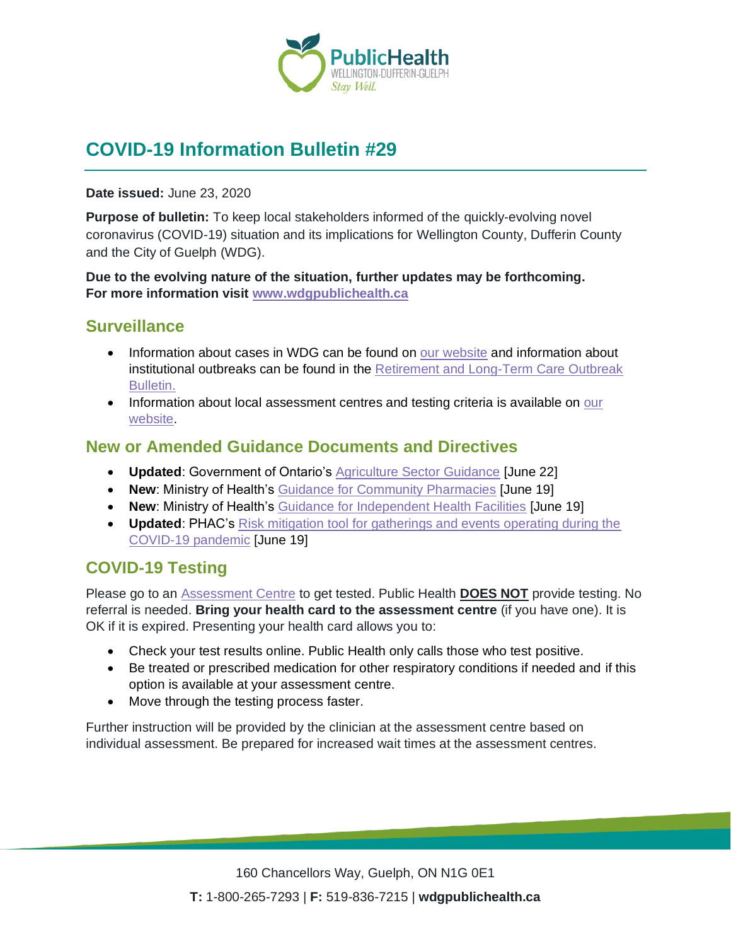

# **COVID-19 Information Bulletin #29**

#### **Date issued:** June 23, 2020

**Purpose of bulletin:** To keep local stakeholders informed of the quickly-evolving novel coronavirus (COVID-19) situation and its implications for Wellington County, Dufferin County and the City of Guelph (WDG).

**Due to the evolving nature of the situation, further updates may be forthcoming. For more information visit [www.wdgpublichealth.ca](http://www.wdgpublichealth.ca/)**

### **Surveillance**

- Information about cases in WDG can be found on [our website](https://wdgpublichealth.ca/your-health/covid-19-information-public/status-cases-wdg) and information about institutional outbreaks can be found in the [Retirement and Long-Term Care Outbreak](https://wdgpublichealth.ca/node/1542)  [Bulletin.](https://wdgpublichealth.ca/node/1542)
- Information about local assessment centres and testing criteria is available on our [website.](https://www.wdgpublichealth.ca/your-health/covid-19-information-public/assessment-centres-wdg)

### **New or Amended Guidance Documents and Directives**

- **Updated**: Government of Ontario's [Agriculture Sector Guidance](https://www.ontario.ca/page/agriculture-health-and-safety-during-covid-19) [June 22]
- **New**: Ministry of Health's [Guidance for Community Pharmacies](http://www.health.gov.on.ca/en/pro/programs/publichealth/coronavirus/docs/2019_pharmacies_guidance.pdf) [June 19]
- **New**: Ministry of Health's [Guidance for Independent Health Facilities](http://www.health.gov.on.ca/en/pro/programs/publichealth/coronavirus/docs/2019_ihf_guidance.pdf) [June 19]
- **Updated**: PHAC's [Risk mitigation tool for gatherings and events operating during the](https://www.canada.ca/en/public-health/services/diseases/2019-novel-coronavirus-infection/health-professionals/mass-gatherings-risk-assesment.html)  [COVID-19 pandemic](https://www.canada.ca/en/public-health/services/diseases/2019-novel-coronavirus-infection/health-professionals/mass-gatherings-risk-assesment.html) [June 19]

## **COVID-19 Testing**

Please go to an [Assessment Centre](https://wdgpublichealth.ca/your-health/covid-19-information-public/assessment-centres-wdg) to get tested. Public Health **DOES NOT** provide testing. No referral is needed. **Bring your health card to the assessment centre** (if you have one). It is OK if it is expired. Presenting your health card allows you to:

- Check your test results online. Public Health only calls those who test positive.
- Be treated or prescribed medication for other respiratory conditions if needed and if this option is available at your assessment centre.
- Move through the testing process faster.

Further instruction will be provided by the clinician at the assessment centre based on individual assessment. Be prepared for increased wait times at the assessment centres.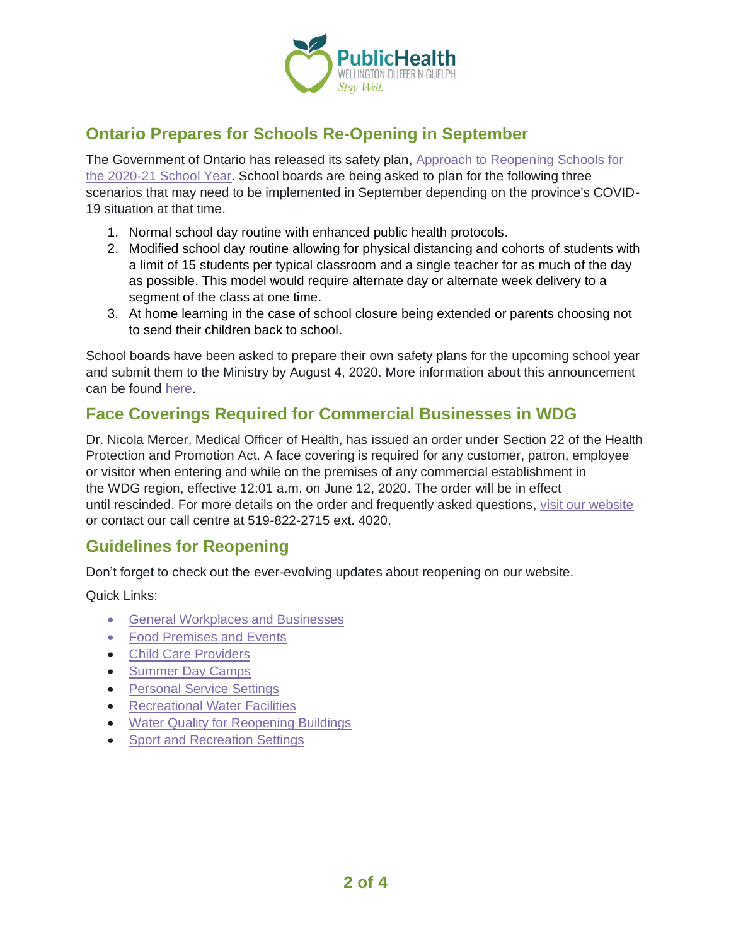

# **Ontario Prepares for Schools Re-Opening in September**

The Government of Ontario has released its safety plan, [Approach to Reopening Schools](https://www.ontario.ca/page/approach-reopening-schools-2020-2021-school-year?_ga=2.28402620.1801671137.1592915154-1123331746.1579028832) for [the 2020-21 School Year.](https://www.ontario.ca/page/approach-reopening-schools-2020-2021-school-year?_ga=2.28402620.1801671137.1592915154-1123331746.1579028832) School boards are being asked to plan for the following three scenarios that may need to be implemented in September depending on the province's COVID-19 situation at that time.

- 1. Normal school day routine with enhanced public health protocols.
- 2. Modified school day routine allowing for physical distancing and cohorts of students with a limit of 15 students per typical classroom and a single teacher for as much of the day as possible. This model would require alternate day or alternate week delivery to a segment of the class at one time.
- 3. At home learning in the case of school closure being extended or parents choosing not to send their children back to school.

School boards have been asked to prepare their own safety plans for the upcoming school year and submit them to the Ministry by August 4, 2020. More information about this announcement can be found [here.](https://news.ontario.ca/opo/en/2020/06/ontario-prepares-for-the-safe-reopening-of-schools.html)

# **Face Coverings Required for Commercial Businesses in WDG**

Dr. Nicola Mercer, Medical Officer of Health, has issued an order under Section 22 of the Health Protection and Promotion Act. A face covering is required for any customer, patron, employee or visitor when entering and while on the premises of any commercial establishment in the WDG region, effective 12:01 a.m. on June 12, 2020. The order will be in effect until rescinded. For more details on the order and frequently asked questions, [visit our website](https://www.wdgpublichealth.ca/your-health/covid-19-information-public/face-coverings-class-order-and-faqs) or contact our call centre at 519-822-2715 ext. 4020.

## **Guidelines for Reopening**

Don't forget to check out the ever-evolving updates about reopening on our website.

Quick Links:

- [General Workplaces and Businesses](https://www.wdgpublichealth.ca/your-health/covid-19-information-workplaces-and-living-spaces/workplaces-and-businesses)
- [Food Premises and Events](https://wdgpublichealth.ca/your-health/covid-19-information-workplaces-and-living-spaces/food-premises-and-events)
- [Child Care Providers](https://www.wdgpublichealth.ca/your-health/covid-19-information-workplaces-and-living-spaces/child-care-providers)
- [Summer Day Camps](https://www.wdgpublichealth.ca/your-health/covid-19-information-workplaces-and-living-spaces/summer-day-camp-providers)
- [Personal Service Settings](https://www.wdgpublichealth.ca/your-health/covid-19-information-workplaces-and-living-spaces/personal-service-settings)
- [Recreational Water Facilities](https://www.wdgpublichealth.ca/your-health/covid-19-information-workplaces-and-living-spaces/recreational-water-facilities)
- [Water Quality for Reopening Buildings](https://wdgpublichealth.ca/your-health/covid-19-information-workplaces-and-living-spaces/water-quality-reopening-buildings)
- [Sport and Recreation Settings](https://wdgpublichealth.ca/your-health/covid-19-information-workplaces-and-living-spaces/sport-and-recreation-settings)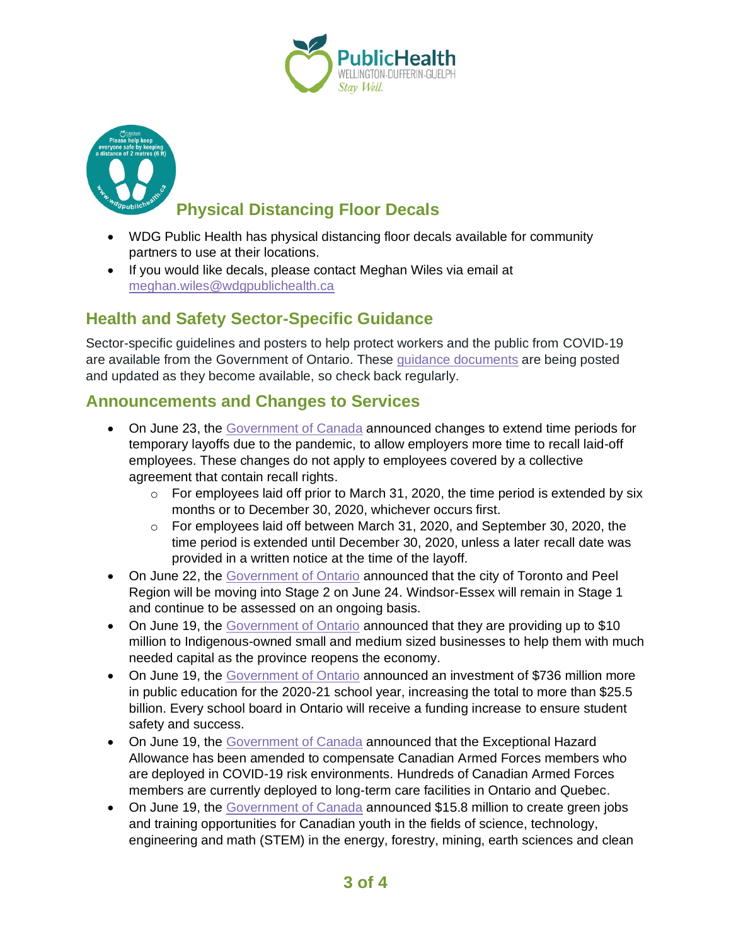



# **Physical Distancing Floor Decals**

- WDG Public Health has physical distancing floor decals available for community partners to use at their locations.
- If you would like decals, please contact Meghan Wiles via email at [meghan.wiles@wdgpublichealth.ca](https://wdgpublichealth.sharepoint.com/sites/IMS-NovelCoronavirus/Shared%20Documents/General/Communications/COVID-19/Stakeholders/COVID-19%20Information%20Bulletin/Bulletin%2018/meghan.wiles@wdgpublichealth.ca)

# **Health and Safety Sector-Specific Guidance**

Sector-specific guidelines and posters to help protect workers and the public from COVID-19 are available from the Government of Ontario. These [guidance documents](https://www.ontario.ca/page/resources-prevent-covid-19-workplace) are being posted and updated as they become available, so check back regularly.

### **Announcements and Changes to Services**

- On June 23, the [Government of Canada](https://www.canada.ca/en/employment-social-development/news/2020/06/the-government-of-canada-temporarily-extends-time-periods-given-to-employers-to-recall-employees-laid-off-due-to-the-covid-19-pandemic.html) announced changes to extend time periods for temporary layoffs due to the pandemic, to allow employers more time to recall laid-off employees. These changes do not apply to employees covered by a collective agreement that contain recall rights.
	- $\circ$  For employees laid off prior to March 31, 2020, the time period is extended by six months or to December 30, 2020, whichever occurs first.
	- $\circ$  For employees laid off between March 31, 2020, and September 30, 2020, the time period is extended until December 30, 2020, unless a later recall date was provided in a written notice at the time of the layoff.
- On June 22, the [Government of Ontario](https://news.ontario.ca/opo/en/2020/06/ontario-moving-toronto-and-peel-region-into-stage-2.html) announced that the city of Toronto and Peel Region will be moving into Stage 2 on June 24. Windsor-Essex will remain in Stage 1 and continue to be assessed on an ongoing basis.
- On June 19, the [Government of Ontario](https://news.ontario.ca/mirr/en/2020/06/ontario-supporting-indigenous-owned-businesses-during-covid-19.html) announced that they are providing up to \$10 million to Indigenous-owned small and medium sized businesses to help them with much needed capital as the province reopens the economy.
- On June 19, the [Government of Ontario](https://news.ontario.ca/edu/en/2020/06/ontario-makes-historic-investment-in-public-education.html) announced an investment of \$736 million more in public education for the 2020-21 school year, increasing the total to more than \$25.5 billion. Every school board in Ontario will receive a funding increase to ensure student safety and success.
- On June 19, the [Government of Canada](https://www.canada.ca/en/department-national-defence/news/2020/06/new-hazard-allowance-for-canadian-armed-forces-members-deployed-on-covid-19-frontlines.html) announced that the Exceptional Hazard Allowance has been amended to compensate Canadian Armed Forces members who are deployed in COVID-19 risk environments. Hundreds of Canadian Armed Forces members are currently deployed to long-term care facilities in Ontario and Quebec.
- On June 19, the [Government of Canada](https://www.canada.ca/en/natural-resources-canada/news/2020/06/investing-in-the-future-of-youth-with-green-jobs-in-the-natural-resources-sectors.html) announced \$15.8 million to create green jobs and training opportunities for Canadian youth in the fields of science, technology, engineering and math (STEM) in the energy, forestry, mining, earth sciences and clean